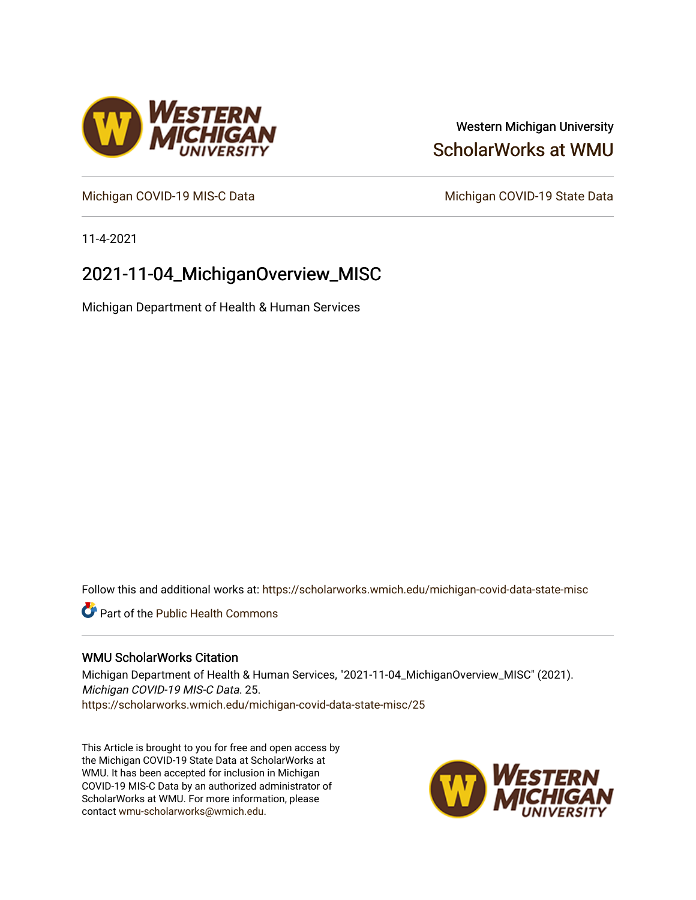# Western Michigan University [ScholarWorks at WMU](https://scholarworks.wmich.edu/)

[Michigan COVID-19 MIS-C Data](https://scholarworks.wmich.edu/michigan-covid-data-state-misc) Michigan COVID-19 State Data

11-4-2021

# 2021-11-04\_MichiganOverview\_MISC

Michigan Department of Health & Human Services

Follow this and additional works at: [https://scholarworks.wmich.edu/michigan-covid-data-state-misc](https://scholarworks.wmich.edu/michigan-covid-data-state-misc?utm_source=scholarworks.wmich.edu%2Fmichigan-covid-data-state-misc%2F25&utm_medium=PDF&utm_campaign=PDFCoverPages) 

**Part of the Public Health Commons** 

### WMU ScholarWorks Citation

Michigan Department of Health & Human Services, "2021-11-04\_MichiganOverview\_MISC" (2021). Michigan COVID-19 MIS-C Data. 25. [https://scholarworks.wmich.edu/michigan-covid-data-state-misc/25](https://scholarworks.wmich.edu/michigan-covid-data-state-misc/25?utm_source=scholarworks.wmich.edu%2Fmichigan-covid-data-state-misc%2F25&utm_medium=PDF&utm_campaign=PDFCoverPages)

This Article is brought to you for free and open access by the Michigan COVID-19 State Data at ScholarWorks at WMU. It has been accepted for inclusion in Michigan COVID-19 MIS-C Data by an authorized administrator of ScholarWorks at WMU. For more information, please contact [wmu-scholarworks@wmich.edu](mailto:wmu-scholarworks@wmich.edu).



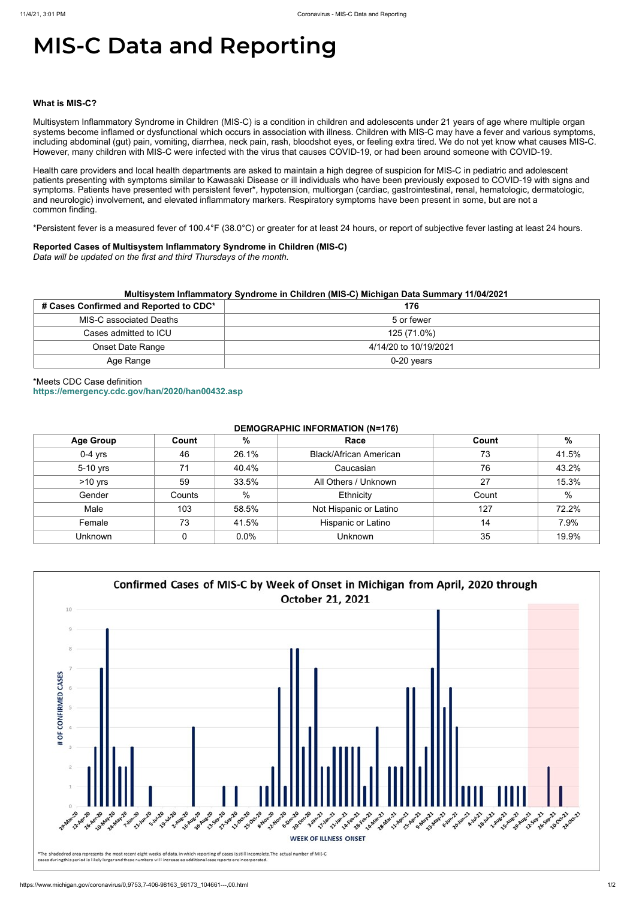# **MIS-C Data and Reporting**

#### **What is MIS-C?**

Multisystem Inflammatory Syndrome in Children (MIS-C) is a condition in children and adolescents under 21 years of age where multiple organ systems become inflamed or dysfunctional which occurs in association with illness. Children with MIS-C may have a fever and various symptoms, including abdominal (gut) pain, vomiting, diarrhea, neck pain, rash, bloodshot eyes, or feeling extra tired. We do not yet know what causes MIS-C. However, many children with MIS-C were infected with the virus that causes COVID-19, or had been around someone with COVID-19.

Health care providers and local health departments are asked to maintain a high degree of suspicion for MIS-C in pediatric and adolescent patients presenting with symptoms similar to Kawasaki Disease or ill individuals who have been previously exposed to COVID-19 with signs and symptoms. Patients have presented with persistent fever\*, hypotension, multiorgan (cardiac, gastrointestinal, renal, hematologic, dermatologic, and neurologic) involvement, and elevated inflammatory markers. Respiratory symptoms have been present in some, but are not a common finding.

\*Persistent fever is a measured fever of 100.4°F (38.0°C) or greater for at least 24 hours, or report of subjective fever lasting at least 24 hours.

#### **Reported Cases of Multisystem Inflammatory Syndrome in Children (MIS-C)**

*Data will be updated on the first and third Thursdays of the month.*

| Multisystem Inflammatory Syndrome in Children (MIS-C) Michigan Data Summary 11/04/2021 |                       |  |  |  |
|----------------------------------------------------------------------------------------|-----------------------|--|--|--|
| # Cases Confirmed and Reported to CDC*                                                 | 176                   |  |  |  |
| MIS-C associated Deaths                                                                | 5 or fewer            |  |  |  |
| Cases admitted to ICU                                                                  | 125 (71.0%)           |  |  |  |
| <b>Onset Date Range</b>                                                                | 4/14/20 to 10/19/2021 |  |  |  |
| Age Range                                                                              | $0-20$ years          |  |  |  |

## \*Meets CDC Case definition **<https://emergency.cdc.gov/han/2020/han00432.asp>**

#### **DEMOGRAPHIC INFORMATION (N=176)**

| <b>Age Group</b> | Count  | %     | Race                          | Count | %     |
|------------------|--------|-------|-------------------------------|-------|-------|
| $0-4$ yrs        | 46     | 26.1% | <b>Black/African American</b> | 73    | 41.5% |
| 5-10 yrs         | 71     | 40.4% | Caucasian                     | 76    | 43.2% |
| $>10$ yrs        | 59     | 33.5% | All Others / Unknown          | 27    | 15.3% |
| Gender           | Counts | %     | Ethnicity                     | Count | %     |
| Male             | 103    | 58.5% | Not Hispanic or Latino        | 127   | 72.2% |
| Female           | 73     | 41.5% | Hispanic or Latino            | 14    | 7.9%  |
| <b>Unknown</b>   |        | 0.0%  | <b>Unknown</b>                | 35    | 19.9% |